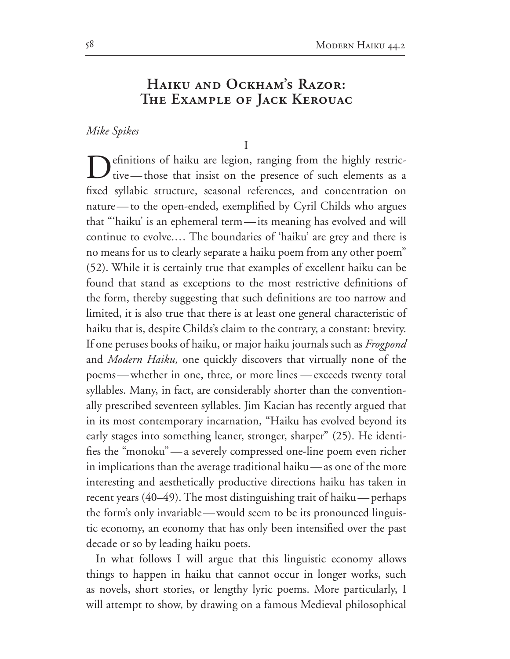## **Haiku and Ockham's Razor: The Example of Jack Kerouac**

*Mike Spikes*

 $\overline{I}$ 

efinitions of haiku are legion, ranging from the highly restrictive—those that insist on the presence of such elements as a fixed syllabic structure, seasonal references, and concentration on nature—to the open-ended, exemplified by Cyril Childs who argues that "'haiku' is an ephemeral term—its meaning has evolved and will continue to evolve.… The boundaries of 'haiku' are grey and there is no means for us to clearly separate a haiku poem from any other poem" (52). While it is certainly true that examples of excellent haiku can be found that stand as exceptions to the most restrictive definitions of the form, thereby suggesting that such definitions are too narrow and limited, it is also true that there is at least one general characteristic of haiku that is, despite Childs's claim to the contrary, a constant: brevity. If one peruses books of haiku, or major haiku journals such as *Frogpond* and *Modern Haiku,* one quickly discovers that virtually none of the poems—whether in one, three, or more lines —exceeds twenty total syllables. Many, in fact, are considerably shorter than the convention ally prescribed seventeen syllables. Jim Kacian has recently argued that in its most contemporary incarnation, "Haiku has evolved beyond its early stages into something leaner, stronger, sharper" (25). He identifies the "monoku"—a severely compressed one-line poem even richer in implications than the average traditional haiku—as one of the more interesting and aesthetically productive directions haiku has taken in recent years  $(40-49)$ . The most distinguishing trait of haiku—perhaps the form's only invariable—would seem to be its pronounced linguis tic economy, an economy that has only been intensified over the past decade or so by leading haiku poets.

In what follows I will argue that this linguistic economy allows things to happen in haiku that cannot occur in longer works, such as novels, short stories, or lengthy lyric poems. More particularly, I will attempt to show, by drawing on a famous Medieval philosophical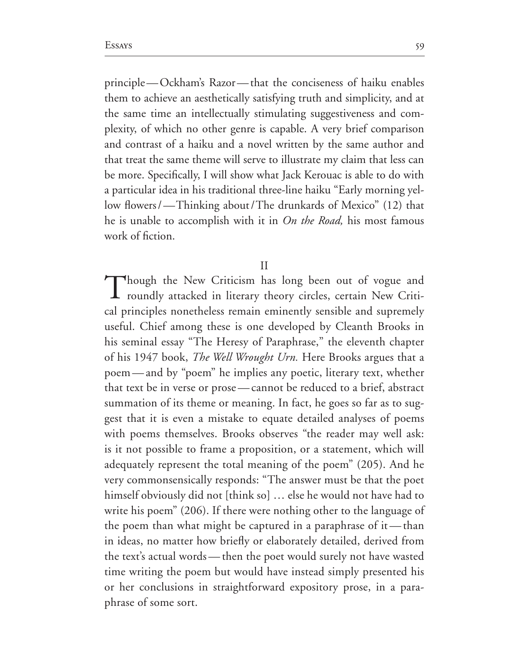principle-Ockham's Razor-that the conciseness of haiku enables them to achieve an aesthetically satisfying truth and simplicity, and at the same time an intellectually stimulating suggestiveness and com plexity, of which no other genre is capable. A very brief comparison and contrast of a haiku and a novel written by the same author and that treat the same theme will serve to illustrate my claim that less can be more. Specifically, I will show what Jack Kerouac is able to do with a particular idea in his traditional three-line haiku "Early morning yellow flowers/—Thinking about/The drunkards of Mexico" (12) that he is unable to accomplish with it in *On the Road,* his most famous work of fiction.

## $\prod$

Though the New Criticism has long been out of vogue and roundly attacked in literary theory circles, certain New Critical principles nonetheless remain eminently sensible and supremely useful. Chief among these is one developed by Cleanth Brooks in his seminal essay "The Heresy of Paraphrase," the eleventh chapter of his 1947 book, *The Well Wrought Urn*. Here Brooks argues that a poem—and by "poem" he implies any poetic, literary text, whether that text be in verse or prose—cannot be reduced to a brief, abstract summation of its theme or meaning. In fact, he goes so far as to suggest that it is even a mistake to equate detailed analyses of poems with poems themselves. Brooks observes "the reader may well ask: is it not possible to frame a proposition, or a statement, which will adequately represent the total meaning of the poem" (205). And he very commonsensically responds: "The answer must be that the poet himself obviously did not [think so] … else he would not have had to write his poem" (206). If there were nothing other to the language of the poem than what might be captured in a paraphrase of it—than in ideas, no matter how briefly or elaborately detailed, derived from the text's actual words—then the poet would surely not have wasted time writing the poem but would have instead simply presented his or her conclusions in straightforward expository prose, in a para phrase of some sort.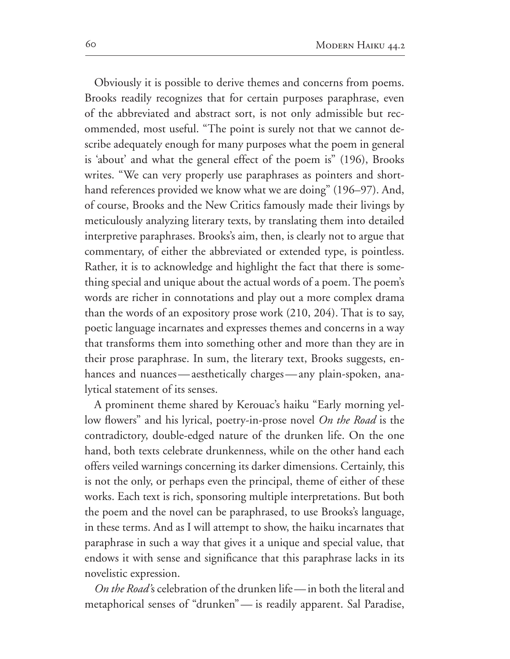Obviously it is possible to derive themes and concerns from poems. Brooks readily recognizes that for certain purposes paraphrase, even of the abbreviated and abstract sort, is not only admissible but rec ommended, most useful. "The point is surely not that we cannot de scribe adequately enough for many purposes what the poem in general is 'about' and what the general effect of the poem is" (196), Brooks writes. "We can very properly use paraphrases as pointers and short hand references provided we know what we are doing" (196–97). And, of course, Brooks and the New Critics famously made their livings by meticulously analyzing literary texts, by translating them into detailed interpretive paraphrases. Brooks's aim, then, is clearly not to argue that commentary, of either the abbreviated or extended type, is pointless. Rather, it is to acknowledge and highlight the fact that there is some thing special and unique about the actual words of a poem. The poem's words are richer in connotations and play out a more complex drama than the words of an expository prose work  $(210, 204)$ . That is to say, poetic language incarnates and expresses themes and concerns in a way that transforms them into something other and more than they are in their prose paraphrase. In sum, the literary text, Brooks suggests, enhances and nuances—aesthetically charges—any plain-spoken, analytical statement of its senses.

A prominent theme shared by Kerouac's haiku "Early morning yel low flowers" and his lyrical, poetry-in-prose novel *On the Road* is the contradictory, double-edged nature of the drunken life. On the one hand, both texts celebrate drunkenness, while on the other hand each offers veiled warnings concerning its darker dimensions. Certainly, this is not the only, or perhaps even the principal, theme of either of these works. Each text is rich, sponsoring multiple interpretations. But both the poem and the novel can be paraphrased, to use Brooks's language, in these terms. And as I will attempt to show, the haiku incarnates that paraphrase in such a way that gives it a unique and special value, that endows it with sense and significance that this paraphrase lacks in its novelistic expression.

*On the Road'*s celebration of the drunken life—in both the literal and metaphorical senses of "drunken" - is readily apparent. Sal Paradise,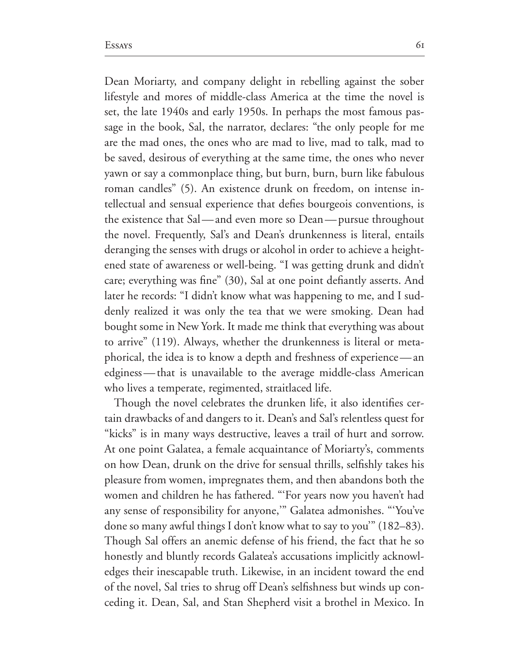Dean Moriarty, and company delight in rebelling against the sober lifestyle and mores of middle-class America at the time the novel is set, the late 1940s and early 1950s. In perhaps the most famous passage in the book, Sal, the narrator, declares: "the only people for me are the mad ones, the ones who are mad to live, mad to talk, mad to be saved, desirous of everything at the same time, the ones who never yawn or say a commonplace thing, but burn, burn, burn like fabulous roman candles" (5). An existence drunk on freedom, on intense intellectual and sensual experience that defies bourgeois conventions, is the existence that Sal—and even more so Dean—pursue throughout the novel. Frequently, Sal's and Dean's drunkenness is literal, entails deranging the senses with drugs or alcohol in order to achieve a height ened state of awareness or well-being. "I was getting drunk and didn't care; everything was fine" (30), Sal at one point defiantly asserts. And later he records: "I didn't know what was happening to me, and I suddenly realized it was only the tea that we were smoking. Dean had bought some in New York. It made me think that everything was about to arrive" (119). Always, whether the drunkenness is literal or metaphorical, the idea is to know a depth and freshness of experience—an edginess—that is unavailable to the average middle-class American who lives a temperate, regimented, straitlaced life.

Though the novel celebrates the drunken life, it also identifies cer tain drawbacks of and dangers to it. Dean's and Sal's relentless quest for "kicks" is in many ways destructive, leaves a trail of hurt and sorrow. At one point Galatea, a female acquaintance of Moriarty's, comments on how Dean, drunk on the drive for sensual thrills, selfishly takes his pleasure from women, impregnates them, and then abandons both the women and children he has fathered. "'For years now you haven't had any sense of responsibility for anyone," Galatea admonishes. "You've done so many awful things I don't know what to say to you"  $(182-83)$ . Though Sal offers an anemic defense of his friend, the fact that he so honestly and bluntly records Galatea's accusations implicitly acknowl edges their inescapable truth. Likewise, in an incident toward the end of the novel, Sal tries to shrug off Dean's selfishness but winds up conceding it. Dean, Sal, and Stan Shepherd visit a brothel in Mexico. In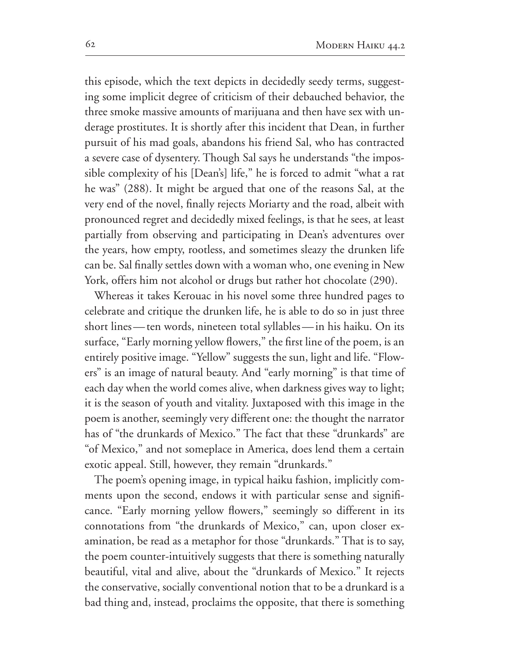this episode, which the text depicts in decidedly seedy terms, suggest ing some implicit degree of criticism of their debauched behavior, the three smoke massive amounts of marijuana and then have sex with un derage prostitutes. It is shortly after this incident that Dean, in further pursuit of his mad goals, abandons his friend Sal, who has contracted a severe case of dysentery. Though Sal says he understands "the impossible complexity of his [Dean's] life," he is forced to admit "what a rat he was" (288). It might be argued that one of the reasons Sal, at the very end of the novel, finally rejects Moriarty and the road, albeit with pronounced regret and decidedly mixed feelings, is that he sees, at least partially from observing and participating in Dean's adventures over the years, how empty, rootless, and sometimes sleazy the drunken life can be. Sal finally settles down with a woman who, one evening in New York, offers him not alcohol or drugs but rather hot chocolate (290).

Whereas it takes Kerouac in his novel some three hundred pages to celebrate and critique the drunken life, he is able to do so in just three short lines—ten words, nineteen total syllables—in his haiku. On its surface, "Early morning yellow flowers," the first line of the poem, is an entirely positive image. "Yellow" suggests the sun, light and life. "Flowers" is an image of natural beauty. And "early morning" is that time of each day when the world comes alive, when darkness gives way to light; it is the season of youth and vitality. Juxtaposed with this image in the poem is another, seemingly very different one: the thought the narrator has of "the drunkards of Mexico." The fact that these "drunkards" are "of Mexico," and not someplace in America, does lend them a certain exotic appeal. Still, however, they remain "drunkards."

The poem's opening image, in typical haiku fashion, implicitly com ments upon the second, endows it with particular sense and signifi cance. "Early morning yellow flowers," seemingly so different in its connotations from "the drunkards of Mexico," can, upon closer ex amination, be read as a metaphor for those "drunkards." That is to say, the poem counter-intuitively suggests that there is something naturally beautiful, vital and alive, about the "drunkards of Mexico." It rejects the conservative, socially conventional notion that to be a drunkard is a bad thing and, instead, proclaims the opposite, that there is something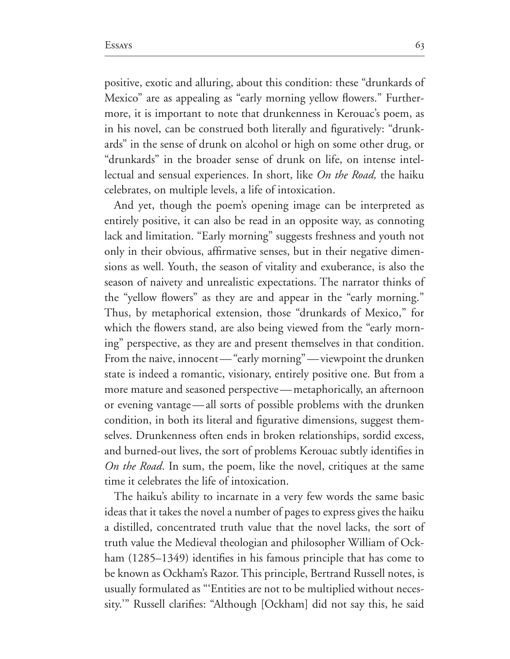positive, exotic and alluring, about this condition: these "drunkards of Mexico" are as appealing as "early morning yellow flowers." Furthermore, it is important to note that drunkenness in Kerouac's poem, as in his novel, can be construed both literally and figuratively: "drunk ards" in the sense of drunk on alcohol or high on some other drug, or "drunkards" in the broader sense of drunk on life, on intense intel lectual and sensual experiences. In short, like *On the Road*, the haiku celebrates, on multiple levels, a life of intoxication.

And yet, though the poem's opening image can be interpreted as entirely positive, it can also be read in an opposite way, as connoting lack and limitation. "Early morning" suggests freshness and youth not only in their obvious, affirmative senses, but in their negative dimen sions as well. Youth, the season of vitality and exuberance, is also the season of naivety and unrealistic expectations. The narrator thinks of the "yellow flowers" as they are and appear in the "early morning." Thus, by metaphorical extension, those "drunkards of Mexico," for which the flowers stand, are also being viewed from the "early morning" perspective, as they are and present themselves in that condition. From the naive, innocent—"early morning"—viewpoint the drunken state is indeed a romantic, visionary, entirely positive one. But from a more mature and seasoned perspective—metaphorically, an afternoon or evening vantage—all sorts of possible problems with the drunken condition, in both its literal and figurative dimensions, suggest them selves. Drunkenness often ends in broken relationships, sordid excess, and burned-out lives, the sort of problems Kerouac subtly identifies in *On the Road*. In sum, the poem, like the novel, critiques at the same time it celebrates the life of intoxication.

The haiku's ability to incarnate in a very few words the same basic ideas that it takes the novel a number of pages to express gives the haiku a distilled, concentrated truth value that the novel lacks, the sort of truth value the Medieval theologian and philosopher William of Ockham  $(1285-1349)$  identifies in his famous principle that has come to be known as Ockham's Razor. This principle, Bertrand Russell notes, is usually formulated as "'Entities are not to be multiplied without neces sity." Russell clarifies: "Although [Ockham] did not say this, he said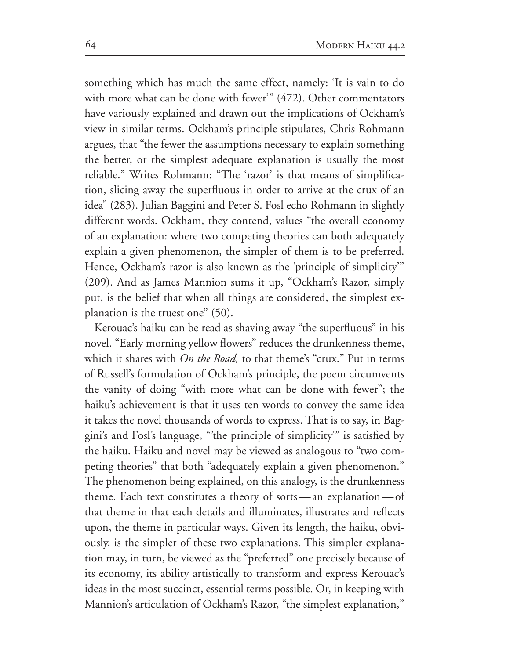something which has much the same effect, namely: 'It is vain to do with more what can be done with fewer"  $(472)$ . Other commentators have variously explained and drawn out the implications of Ockham's view in similar terms. Ockham's principle stipulates, Chris Rohmann argues, that "the fewer the assumptions necessary to explain something the better, or the simplest adequate explanation is usually the most reliable." Writes Rohmann: "The 'razor' is that means of simplifica tion, slicing away the superfluous in order to arrive at the crux of an idea" (283). Julian Baggini and Peter S. Fosl echo Rohmann in slightly different words. Ockham, they contend, values "the overall economy of an explanation: where two competing theories can both adequately explain a given phenomenon, the simpler of them is to be preferred. Hence, Ockham's razor is also known as the 'principle of simplicity'" (209). And as James Mannion sums it up, "Ockham's Razor, simply put, is the belief that when all things are considered, the simplest ex planation is the truest one"  $(50)$ .

Kerouac's haiku can be read as shaving away "the superfluous" in his novel. "Early morning yellow flowers" reduces the drunkenness theme, which it shares with *On the Road,* to that theme's "crux." Put in terms of Russell's formulation of Ockham's principle, the poem circumvents the vanity of doing "with more what can be done with fewer"; the haiku's achievement is that it uses ten words to convey the same idea it takes the novel thousands of words to express. That is to say, in Bag gini's and Fosl's language, "'the principle of simplicity'" is satisfied by the haiku. Haiku and novel may be viewed as analogous to "two com peting theories" that both "adequately explain a given phenomenon." The phenomenon being explained, on this analogy, is the drunkenness theme. Each text constitutes a theory of sorts—an explanation—of that theme in that each details and illuminates, illustrates and reflects upon, the theme in particular ways. Given its length, the haiku, obvi ously, is the simpler of these two explanations. This simpler explana tion may, in turn, be viewed as the "preferred" one precisely because of its economy, its ability artistically to transform and express Kerouac's ideas in the most succinct, essential terms possible. Or, in keeping with Mannion's articulation of Ockham's Razor, "the simplest explanation,"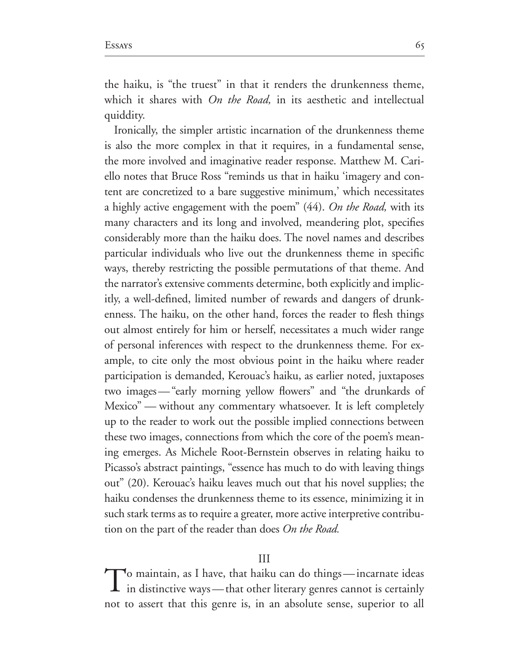the haiku, is "the truest" in that it renders the drunkenness theme, which it shares with *On the Road,* in its aesthetic and intellectual quiddity.

Ironically, the simpler artistic incarnation of the drunkenness theme is also the more complex in that it requires, in a fundamental sense, the more involved and imaginative reader response. Matthew M. Cari ello notes that Bruce Ross "reminds us that in haiku 'imagery and con tent are concretized to a bare suggestive minimum,' which necessitates a highly active engagement with the poem" (44). On the Road, with its many characters and its long and involved, meandering plot, specifies considerably more than the haiku does. The novel names and describes particular individuals who live out the drunkenness theme in specific ways, thereby restricting the possible permutations of that theme. And the narrator's extensive comments determine, both explicitly and implic itly, a well-defined, limited number of rewards and dangers of drunkenness. The haiku, on the other hand, forces the reader to flesh things out almost entirely for him or herself, necessitates a much wider range of personal inferences with respect to the drunkenness theme. For ex ample, to cite only the most obvious point in the haiku where reader participation is demanded, Kerouac's haiku, as earlier noted, juxtaposes two images—"early morning yellow flowers" and "the drunkards of Mexico" — without any commentary whatsoever. It is left completely up to the reader to work out the possible implied connections between these two images, connections from which the core of the poem's mean ing emerges. As Michele Root-Bernstein observes in relating haiku to Picasso's abstract paintings, "essence has much to do with leaving things out" (20). Kerouac's haiku leaves much out that his novel supplies; the haiku condenses the drunkenness theme to its essence, minimizing it in such stark terms as to require a greater, more active interpretive contribu tion on the part of the reader than does *On the Road.*

## $\overline{\text{III}}$

To maintain, as I have, that haiku can do things—incarnate ideas  $\perp$  in distinctive ways—that other literary genres cannot is certainly not to assert that this genre is, in an absolute sense, superior to all